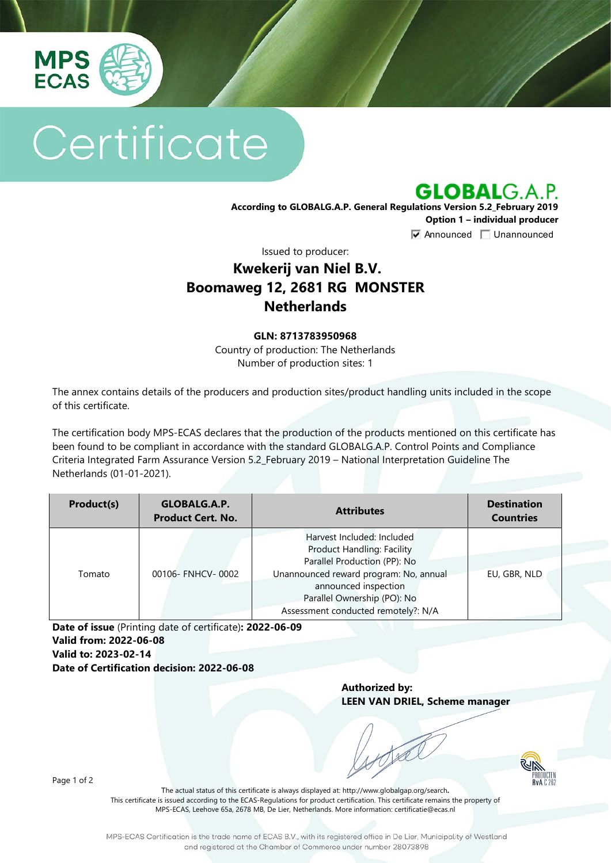

# Certificate

**GLOBALG.A.P.** 

**According to GLOBALG.A.P. General Regulations Version 5.2\_February 2019 Option 1 – individual producer**  $\nabla$  Announced  $\nabla$  Unannounced

Issued to producer:

## **Kwekerij van Niel B.V. Boomaweg 12, 2681 RG MONSTER Netherlands**

#### **GLN: 8713783950968**

Country of production: The Netherlands Number of production sites: 1

The annex contains details of the producers and production sites/product handling units included in the scope of this certificate.

The certification body MPS-ECAS declares that the production of the products mentioned on this certificate has been found to be compliant in accordance with the standard GLOBALG.A.P. Control Points and Compliance Criteria Integrated Farm Assurance Version 5.2\_February 2019 – National Interpretation Guideline The Netherlands (01-01-2021).

| Product(s) | GLOBALG.A.P.<br><b>Product Cert. No.</b> | <b>Attributes</b>                                                                                                                                                                                                                       | <b>Destination</b><br><b>Countries</b> |
|------------|------------------------------------------|-----------------------------------------------------------------------------------------------------------------------------------------------------------------------------------------------------------------------------------------|----------------------------------------|
| Tomato     | 00106- FNHCV-0002                        | Harvest Included: Included<br><b>Product Handling: Facility</b><br>Parallel Production (PP): No<br>Unannounced reward program: No, annual<br>announced inspection<br>Parallel Ownership (PO): No<br>Assessment conducted remotely?: N/A | EU, GBR, NLD                           |

**Date of issue** (Printing date of certificate)**: 2022-06-09 Valid from: 2022-06-08 Valid to: 2023-02-14 Date of Certification decision: 2022-06-08**

> **Authorized by: LEEN VAN DRIEL, Scheme manager**



Page 1 of 2

The actual status of this certificate is always displayed at: <http://www.globalgap.org/search>**.**  This certificate is issued according to the ECAS-Regulations for product certification. This certificate remains the property of MPS-ECAS, Leehove 65a, 2678 MB, De Lier, Netherlands. More information[: certificatie@ecas.nl](mailto:certificatie@ecas.nl)